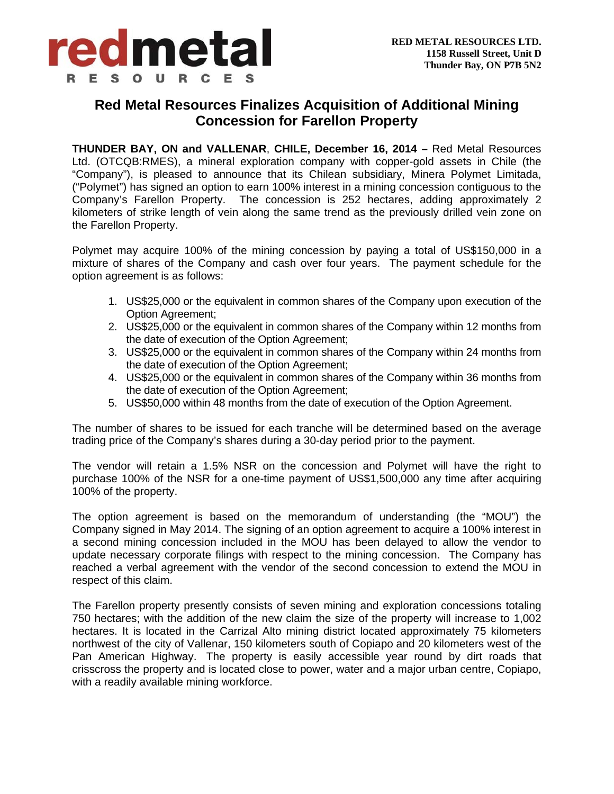

## **Red Metal Resources Finalizes Acquisition of Additional Mining Concession for Farellon Property**

**THUNDER BAY, ON and VALLENAR**, **CHILE, December 16, 2014 –** Red Metal Resources Ltd. (OTCQB:RMES), a mineral exploration company with copper-gold assets in Chile (the "Company"), is pleased to announce that its Chilean subsidiary, Minera Polymet Limitada, ("Polymet") has signed an option to earn 100% interest in a mining concession contiguous to the Company's Farellon Property. The concession is 252 hectares, adding approximately 2 kilometers of strike length of vein along the same trend as the previously drilled vein zone on the Farellon Property.

Polymet may acquire 100% of the mining concession by paying a total of US\$150,000 in a mixture of shares of the Company and cash over four years. The payment schedule for the option agreement is as follows:

- 1. US\$25,000 or the equivalent in common shares of the Company upon execution of the Option Agreement;
- 2. US\$25,000 or the equivalent in common shares of the Company within 12 months from the date of execution of the Option Agreement;
- 3. US\$25,000 or the equivalent in common shares of the Company within 24 months from the date of execution of the Option Agreement;
- 4. US\$25,000 or the equivalent in common shares of the Company within 36 months from the date of execution of the Option Agreement;
- 5. US\$50,000 within 48 months from the date of execution of the Option Agreement.

The number of shares to be issued for each tranche will be determined based on the average trading price of the Company's shares during a 30-day period prior to the payment.

The vendor will retain a 1.5% NSR on the concession and Polymet will have the right to purchase 100% of the NSR for a one-time payment of US\$1,500,000 any time after acquiring 100% of the property.

The option agreement is based on the memorandum of understanding (the "MOU") the Company signed in May 2014. The signing of an option agreement to acquire a 100% interest in a second mining concession included in the MOU has been delayed to allow the vendor to update necessary corporate filings with respect to the mining concession. The Company has reached a verbal agreement with the vendor of the second concession to extend the MOU in respect of this claim.

The Farellon property presently consists of seven mining and exploration concessions totaling 750 hectares; with the addition of the new claim the size of the property will increase to 1,002 hectares. It is located in the Carrizal Alto mining district located approximately 75 kilometers northwest of the city of Vallenar, 150 kilometers south of Copiapo and 20 kilometers west of the Pan American Highway. The property is easily accessible year round by dirt roads that crisscross the property and is located close to power, water and a major urban centre, Copiapo, with a readily available mining workforce.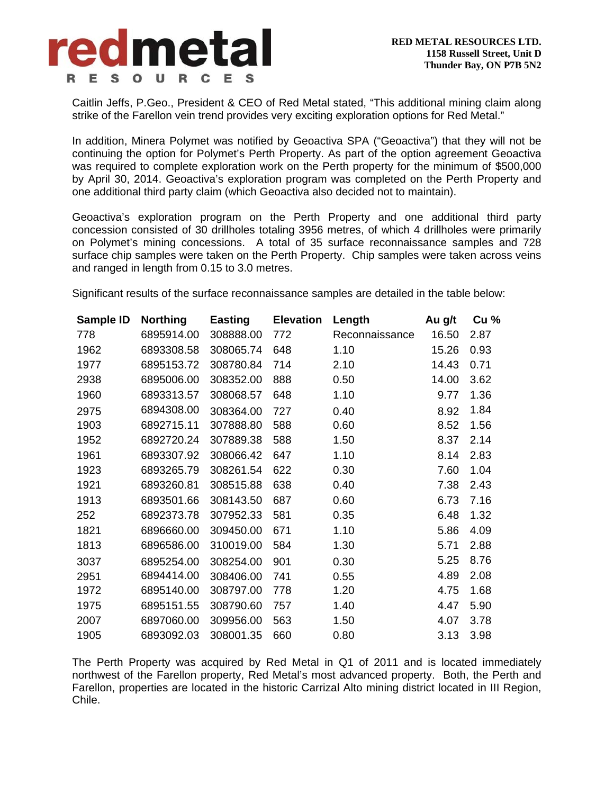

Caitlin Jeffs, P.Geo., President & CEO of Red Metal stated, "This additional mining claim along strike of the Farellon vein trend provides very exciting exploration options for Red Metal."

In addition, Minera Polymet was notified by Geoactiva SPA ("Geoactiva") that they will not be continuing the option for Polymet's Perth Property. As part of the option agreement Geoactiva was required to complete exploration work on the Perth property for the minimum of \$500,000 by April 30, 2014. Geoactiva's exploration program was completed on the Perth Property and one additional third party claim (which Geoactiva also decided not to maintain).

Geoactiva's exploration program on the Perth Property and one additional third party concession consisted of 30 drillholes totaling 3956 metres, of which 4 drillholes were primarily on Polymet's mining concessions. A total of 35 surface reconnaissance samples and 728 surface chip samples were taken on the Perth Property. Chip samples were taken across veins and ranged in length from 0.15 to 3.0 metres.

Significant results of the surface reconnaissance samples are detailed in the table below:

| Sample ID | <b>Northing</b> | <b>Easting</b> | <b>Elevation</b> | Length         | Au g/t | Cu % |
|-----------|-----------------|----------------|------------------|----------------|--------|------|
| 778       | 6895914.00      | 308888.00      | 772              | Reconnaissance | 16.50  | 2.87 |
| 1962      | 6893308.58      | 308065.74      | 648              | 1.10           | 15.26  | 0.93 |
| 1977      | 6895153.72      | 308780.84      | 714              | 2.10           | 14.43  | 0.71 |
| 2938      | 6895006.00      | 308352.00      | 888              | 0.50           | 14.00  | 3.62 |
| 1960      | 6893313.57      | 308068.57      | 648              | 1.10           | 9.77   | 1.36 |
| 2975      | 6894308.00      | 308364.00      | 727              | 0.40           | 8.92   | 1.84 |
| 1903      | 6892715.11      | 307888.80      | 588              | 0.60           | 8.52   | 1.56 |
| 1952      | 6892720.24      | 307889.38      | 588              | 1.50           | 8.37   | 2.14 |
| 1961      | 6893307.92      | 308066.42      | 647              | 1.10           | 8.14   | 2.83 |
| 1923      | 6893265.79      | 308261.54      | 622              | 0.30           | 7.60   | 1.04 |
| 1921      | 6893260.81      | 308515.88      | 638              | 0.40           | 7.38   | 2.43 |
| 1913      | 6893501.66      | 308143.50      | 687              | 0.60           | 6.73   | 7.16 |
| 252       | 6892373.78      | 307952.33      | 581              | 0.35           | 6.48   | 1.32 |
| 1821      | 6896660.00      | 309450.00      | 671              | 1.10           | 5.86   | 4.09 |
| 1813      | 6896586.00      | 310019.00      | 584              | 1.30           | 5.71   | 2.88 |
| 3037      | 6895254.00      | 308254.00      | 901              | 0.30           | 5.25   | 8.76 |
| 2951      | 6894414.00      | 308406.00      | 741              | 0.55           | 4.89   | 2.08 |
| 1972      | 6895140.00      | 308797.00      | 778              | 1.20           | 4.75   | 1.68 |
| 1975      | 6895151.55      | 308790.60      | 757              | 1.40           | 4.47   | 5.90 |
| 2007      | 6897060.00      | 309956.00      | 563              | 1.50           | 4.07   | 3.78 |
| 1905      | 6893092.03      | 308001.35      | 660              | 0.80           | 3.13   | 3.98 |

The Perth Property was acquired by Red Metal in Q1 of 2011 and is located immediately northwest of the Farellon property, Red Metal's most advanced property. Both, the Perth and Farellon, properties are located in the historic Carrizal Alto mining district located in III Region, Chile.